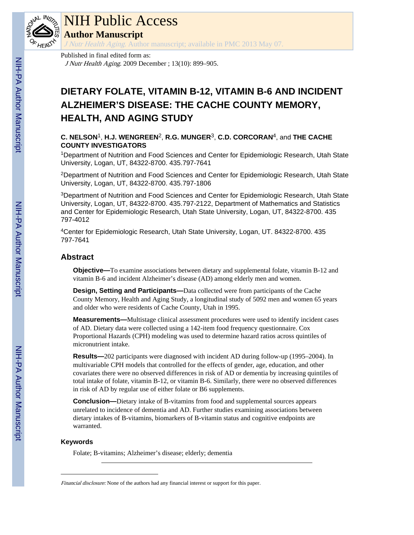

### NIH Public Access

**Author Manuscript**

J Nutr Health Aging. Author manuscript; available in PMC 2013 May 07.

Published in final edited form as: J Nutr Health Aging. 2009 December ; 13(10): 899–905.

### **DIETARY FOLATE, VITAMIN B-12, VITAMIN B-6 AND INCIDENT ALZHEIMER'S DISEASE: THE CACHE COUNTY MEMORY, HEALTH, AND AGING STUDY**

#### **C. NELSON**1, **H.J. WENGREEN**2, **R.G. MUNGER**3, **C.D. CORCORAN**4, and **THE CACHE COUNTY INVESTIGATORS**

<sup>1</sup>Department of Nutrition and Food Sciences and Center for Epidemiologic Research, Utah State University, Logan, UT, 84322-8700. 435.797-7641

<sup>2</sup>Department of Nutrition and Food Sciences and Center for Epidemiologic Research, Utah State University, Logan, UT, 84322-8700. 435.797-1806

<sup>3</sup>Department of Nutrition and Food Sciences and Center for Epidemiologic Research, Utah State University, Logan, UT, 84322-8700. 435.797-2122, Department of Mathematics and Statistics and Center for Epidemiologic Research, Utah State University, Logan, UT, 84322-8700. 435 797-4012

<sup>4</sup>Center for Epidemiologic Research, Utah State University, Logan, UT. 84322-8700. 435 797-7641

#### **Abstract**

**Objective—**To examine associations between dietary and supplemental folate, vitamin B-12 and vitamin B-6 and incident Alzheimer's disease (AD) among elderly men and women.

**Design, Setting and Participants—**Data collected were from participants of the Cache County Memory, Health and Aging Study, a longitudinal study of 5092 men and women 65 years and older who were residents of Cache County, Utah in 1995.

**Measurements—**Multistage clinical assessment procedures were used to identify incident cases of AD. Dietary data were collected using a 142-item food frequency questionnaire. Cox Proportional Hazards (CPH) modeling was used to determine hazard ratios across quintiles of micronutrient intake.

**Results—**202 participants were diagnosed with incident AD during follow-up (1995–2004). In multivariable CPH models that controlled for the effects of gender, age, education, and other covariates there were no observed differences in risk of AD or dementia by increasing quintiles of total intake of folate, vitamin B-12, or vitamin B-6. Similarly, there were no observed differences in risk of AD by regular use of either folate or B6 supplements.

**Conclusion—**Dietary intake of B-vitamins from food and supplemental sources appears unrelated to incidence of dementia and AD. Further studies examining associations between dietary intakes of B-vitamins, biomarkers of B-vitamin status and cognitive endpoints are warranted.

#### **Keywords**

Folate; B-vitamins; Alzheimer's disease; elderly; dementia

Financial disclosure: None of the authors had any financial interest or support for this paper.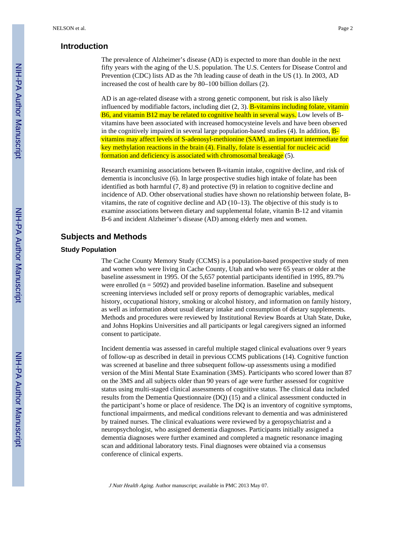#### **Introduction**

The prevalence of Alzheimer's disease (AD) is expected to more than double in the next fifty years with the aging of the U.S. population. The U.S. Centers for Disease Control and Prevention (CDC) lists AD as the 7th leading cause of death in the US (1). In 2003, AD increased the cost of health care by 80–100 billion dollars (2).

AD is an age-related disease with a strong genetic component, but risk is also likely influenced by modifiable factors, including diet  $(2, 3)$ . **B**-vitamins including folate, vitamin B6, and vitamin B12 may be related to cognitive health in several ways. Low levels of Bvitamins have been associated with increased homocysteine levels and have been observed in the cognitively impaired in several large population-based studies (4). In addition,  $B$ vitamins may affect levels of S-adenosyl-methionine (SAM), an important intermediate for key methylation reactions in the brain (4). Finally, folate is essential for nucleic acid formation and deficiency is associated with chromosomal breakage (5).

Research examining associations between B-vitamin intake, cognitive decline, and risk of dementia is inconclusive (6). In large prospective studies high intake of folate has been identified as both harmful (7, 8) and protective (9) in relation to cognitive decline and incidence of AD. Other observational studies have shown no relationship between folate, Bvitamins, the rate of cognitive decline and AD  $(10-13)$ . The objective of this study is to examine associations between dietary and supplemental folate, vitamin B-12 and vitamin B-6 and incident Alzheimer's disease (AD) among elderly men and women.

#### **Subjects and Methods**

#### **Study Population**

The Cache County Memory Study (CCMS) is a population-based prospective study of men and women who were living in Cache County, Utah and who were 65 years or older at the baseline assessment in 1995. Of the 5,657 potential participants identified in 1995, 89.7% were enrolled  $(n = 5092)$  and provided baseline information. Baseline and subsequent screening interviews included self or proxy reports of demographic variables, medical history, occupational history, smoking or alcohol history, and information on family history, as well as information about usual dietary intake and consumption of dietary supplements. Methods and procedures were reviewed by Institutional Review Boards at Utah State, Duke, and Johns Hopkins Universities and all participants or legal caregivers signed an informed consent to participate.

Incident dementia was assessed in careful multiple staged clinical evaluations over 9 years of follow-up as described in detail in previous CCMS publications (14). Cognitive function was screened at baseline and three subsequent follow-up assessments using a modified version of the Mini Mental State Examination (3MS). Participants who scored lower than 87 on the 3MS and all subjects older than 90 years of age were further assessed for cognitive status using multi-staged clinical assessments of cognitive status. The clinical data included results from the Dementia Questionnaire (DQ) (15) and a clinical assessment conducted in the participant's home or place of residence. The DQ is an inventory of cognitive symptoms, functional impairments, and medical conditions relevant to dementia and was administered by trained nurses. The clinical evaluations were reviewed by a geropsychiatrist and a neuropsychologist, who assigned dementia diagnoses. Participants initially assigned a dementia diagnoses were further examined and completed a magnetic resonance imaging scan and additional laboratory tests. Final diagnoses were obtained via a consensus conference of clinical experts.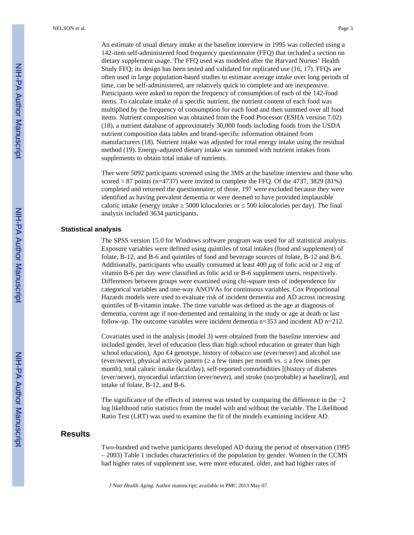An estimate of usual dietary intake at the baseline interview in 1995 was collected using a 142-item self-administered food frequency questionnaire (FFQ) that included a section on dietary supplement usage. The FFQ used was modeled after the Harvard Nurses' Health Study FFQ; its design has been tested and validated for replicated use (16, 17). FFQs are often used in large population-based studies to estimate average intake over long periods of time, can be self-administered, are relatively quick to complete and are inexpensive. Participants were asked to report the frequency of consumption of each of the 142-food items. To calculate intake of a specific nutrient, the nutrient content of each food was multiplied by the frequency of consumption for each food and then summed over all food items. Nutrient composition was obtained from the Food Processor (ESHA version 7.02) (18), a nutrient database of approximately 30,000 foods including foods from the USDA nutrient composition data tables and brand-specific information obtained from manufacturers (18). Nutrient intake was adjusted for total energy intake using the residual method (19). Energy-adjusted dietary intake was summed with nutrient intakes from supplements to obtain total intake of nutrients.

Ther were 5092 participants screened using the 3MS at the baseline interview and those who scored  $> 87$  points (n=4737) were invited to complete the FFQ. Of the 4737, 3829 (81%) completed and returned the questionnaire; of those, 197 were excluded because they were identified as having prevalent dementia or were deemed to have provided implausible caloric intake (energy intake ≥ 5000 kilocalories or ≤ 500 kilocalories per day). The final analysis included 3634 participants.

#### **Statistical analysis**

The SPSS version 15.0 for Windows software program was used for all statistical analysis. Exposure variables were defined using quintiles of total intakes (food and supplement) of folate, B-12, and B-6 and quintiles of food and beverage sources of folate, B-12 and B-6. Additionally, participants who usually consumed at least 400  $\mu$ g of folic acid or 2 mg of vitamin B-6 per day were classified as folic acid or B-6 supplement users, respectively. Differences between groups were examined using chi-square tests of independence for categorical variables and one-way ANOVAs for continuous variables. Cox Proportional Hazards models were used to evaluate risk of incident dementia and AD across increasing quintiles of B-vitamin intake. The time variable was defined as the age at diagnosis of dementia, current age if non-demented and remaining in the study or age at death or last follow-up. The outcome variables were incident dementia  $n=353$  and incident AD  $n=212$ .

Covariates used in the analysis (model 3) were obtained from the baseline interview and included gender, level of education (less than high school education or greater than high school education), Apo €4 genotype, history of tobacco use (ever/never) and alcohol use (ever/never), physical activity pattern (≥ a few times per month vs. ≤ a few times per month), total caloric intake (kcal/day), self-reported comorbidities [(history of diabetes (ever/never), myocardial infarction (ever/never), and stroke (no/probable) at baseline)], and intake of folate, B-12, and B-6.

The significance of the effects of interest was tested by comparing the difference in the −2 log likelihood ratio statistics from the model with and without the variable. The Likelihood Ratio Test (LRT) was used to examine the fit of the models examining incident AD.

#### **Results**

Two-hundred and twelve participants developed AD during the period of observation (1995 – 2003) Table 1 includes characteristics of the population by gender. Women in the CCMS had higher rates of supplement use, were more educated, older, and had higher rates of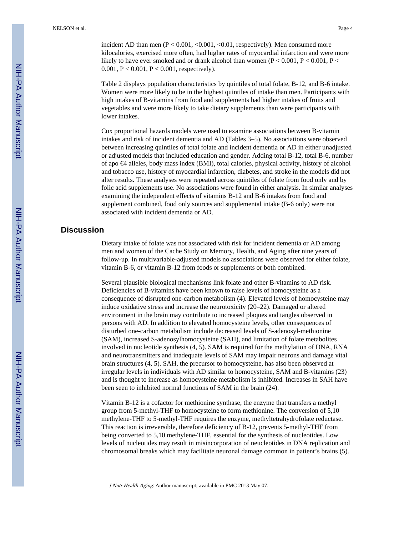incident AD than men (P < 0.001, < 0.001, < 0.01, respectively). Men consumed more kilocalories, exercised more often, had higher rates of myocardial infarction and were more likely to have ever smoked and or drank alcohol than women  $(P < 0.001, P < 0.001, P <$ 0.001,  $P < 0.001$ ,  $P < 0.001$ , respectively).

Table 2 displays population characteristics by quintiles of total folate, B-12, and B-6 intake. Women were more likely to be in the highest quintiles of intake than men. Participants with high intakes of B-vitamins from food and supplements had higher intakes of fruits and vegetables and were more likely to take dietary supplements than were participants with lower intakes.

Cox proportional hazards models were used to examine associations between B-vitamin intakes and risk of incident dementia and AD (Tables 3–5). No associations were observed between increasing quintiles of total folate and incident dementia or AD in either unadjusted or adjusted models that included education and gender. Adding total B-12, total B-6, number of apo €4 alleles, body mass index (BMI), total calories, physical activity, history of alcohol and tobacco use, history of myocardial infarction, diabetes, and stroke in the models did not alter results. These analyses were repeated across quintiles of folate from food only and by folic acid supplements use. No associations were found in either analysis. In similar analyses examining the independent effects of vitamins B-12 and B-6 intakes from food and supplement combined, food only sources and supplemental intake (B-6 only) were not associated with incident dementia or AD.

#### **Discussion**

Dietary intake of folate was not associated with risk for incident dementia or AD among men and women of the Cache Study on Memory, Health, and Aging after nine years of follow-up. In multivariable-adjusted models no associations were observed for either folate, vitamin B-6, or vitamin B-12 from foods or supplements or both combined.

Several plausible biological mechanisms link folate and other B-vitamins to AD risk. Deficiencies of B-vitamins have been known to raise levels of homocysteine as a consequence of disrupted one-carbon metabolism (4). Elevated levels of homocysteine may induce oxidative stress and increase the neurotoxicity (20–22). Damaged or altered environment in the brain may contribute to increased plaques and tangles observed in persons with AD. In addition to elevated homocysteine levels, other consequences of disturbed one-carbon metabolism include decreased levels of S-adenosyl-methionine (SAM), increased S-adenosylhomocysteine (SAH), and limitation of folate metabolites involved in nucleotide synthesis (4, 5). SAM is required for the methylation of DNA, RNA and neurotransmitters and inadequate levels of SAM may impair neurons and damage vital brain structures (4, 5). SAH, the precursor to homocysteine, has also been observed at irregular levels in individuals with AD similar to homocysteine, SAM and B-vitamins (23) and is thought to increase as homocysteine metabolism is inhibited. Increases in SAH have been seen to inhibited normal functions of SAM in the brain (24).

Vitamin B-12 is a cofactor for methionine synthase, the enzyme that transfers a methyl group from 5-methyl-THF to homocysteine to form methionine. The conversion of 5,10 methylene-THF to 5-methyl-THF requires the enzyme, methyltetrahydrofolate reductase. This reaction is irreversible, therefore deficiency of B-12, prevents 5-methyl-THF from being converted to 5,10 methylene-THF, essential for the synthesis of nucleotides. Low levels of nucleotides may result in misincorporation of neucleotides in DNA replication and chromosomal breaks which may facilitate neuronal damage common in patient's brains (5).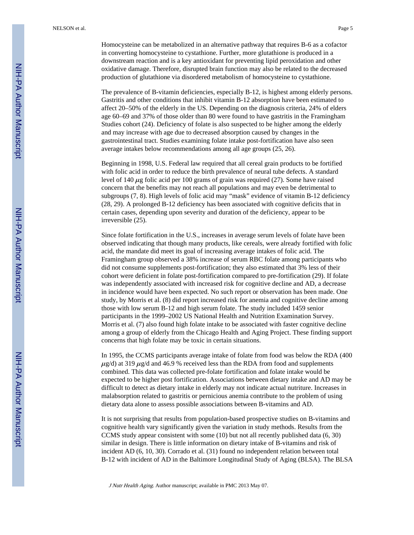The prevalence of B-vitamin deficiencies, especially B-12, is highest among elderly persons. Gastritis and other conditions that inhibit vitamin B-12 absorption have been estimated to affect 20–50% of the elderly in the US. Depending on the diagnosis criteria, 24% of elders age 60–69 and 37% of those older than 80 were found to have gastritis in the Framingham Studies cohort (24). Deficiency of folate is also suspected to be higher among the elderly and may increase with age due to decreased absorption caused by changes in the gastrointestinal tract. Studies examining folate intake post-fortification have also seen average intakes below recommendations among all age groups (25, 26).

production of glutathione via disordered metabolism of homocysteine to cystathione.

Beginning in 1998, U.S. Federal law required that all cereal grain products to be fortified with folic acid in order to reduce the birth prevalence of neural tube defects. A standard level of 140  $\mu$ g folic acid per 100 grams of grain was required (27). Some have raised concern that the benefits may not reach all populations and may even be detrimental to subgroups (7, 8). High levels of folic acid may "mask" evidence of vitamin B-12 deficiency (28, 29). A prolonged B-12 deficiency has been associated with cognitive deficits that in certain cases, depending upon severity and duration of the deficiency, appear to be irreversible (25).

Since folate fortification in the U.S., increases in average serum levels of folate have been observed indicating that though many products, like cereals, were already fortified with folic acid, the mandate did meet its goal of increasing average intakes of folic acid. The Framingham group observed a 38% increase of serum RBC folate among participants who did not consume supplements post-fortification; they also estimated that 3% less of their cohort were deficient in folate post-fortification compared to pre-fortification (29). If folate was independently associated with increased risk for cognitive decline and AD, a decrease in incidence would have been expected. No such report or observation has been made. One study, by Morris et al. (8) did report increased risk for anemia and cognitive decline among those with low serum B-12 and high serum folate. The study included 1459 senior participants in the 1999–2002 US National Health and Nutrition Examination Survey. Morris et al. (7) also found high folate intake to be associated with faster cognitive decline among a group of elderly from the Chicago Health and Aging Project. These finding support concerns that high folate may be toxic in certain situations.

In 1995, the CCMS participants average intake of folate from food was below the RDA (400  $\mu$ g/d) at 319  $\mu$ g/d and 46.9 % received less than the RDA from food and supplements combined. This data was collected pre-folate fortification and folate intake would be expected to be higher post fortification. Associations between dietary intake and AD may be difficult to detect as dietary intake in elderly may not indicate actual nutriture. Increases in malabsorption related to gastritis or pernicious anemia contribute to the problem of using dietary data alone to assess possible associations between B-vitamins and AD.

It is not surprising that results from population-based prospective studies on B-vitamins and cognitive health vary significantly given the variation in study methods. Results from the CCMS study appear consistent with some (10) but not all recently published data (6, 30) similar in design. There is little information on dietary intake of B-vitamins and risk of incident AD (6, 10, 30). Corrado et al. (31) found no independent relation between total B-12 with incident of AD in the Baltimore Longitudinal Study of Aging (BLSA). The BLSA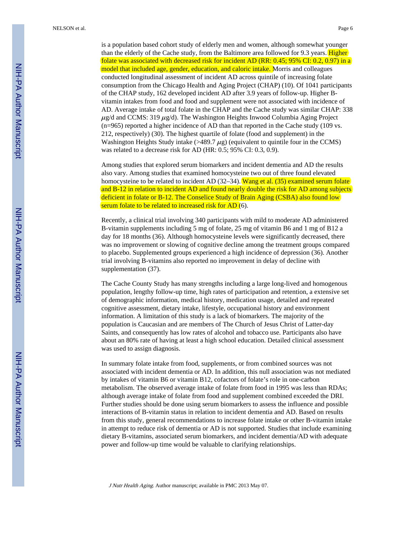is a population based cohort study of elderly men and women, although somewhat younger than the elderly of the Cache study, from the Baltimore area followed for 9.3 years. **Higher** folate was associated with decreased risk for incident AD (RR: 0.45; 95% CI: 0.2, 0.97) in a model that included age, gender, education, and caloric intake. Morris and colleagues conducted longitudinal assessment of incident AD across quintile of increasing folate consumption from the Chicago Health and Aging Project (CHAP) (10). Of 1041 participants of the CHAP study, 162 developed incident AD after 3.9 years of follow-up. Higher Bvitamin intakes from food and food and supplement were not associated with incidence of AD. Average intake of total folate in the CHAP and the Cache study was similar CHAP: 338  $\mu$ g/d and CCMS: 319  $\mu$ g/d). The Washington Heights Inwood Columbia Aging Project (n=965) reported a higher incidence of AD than that reported in the Cache study (109 vs. 212, respectively) (30). The highest quartile of folate (food and supplement) in the Washington Heights Study intake ( $>489.7 \mu$ g) (equivalent to quintile four in the CCMS) was related to a decrease risk for AD (HR: 0.5; 95% CI: 0.3, 0.9).

Among studies that explored serum biomarkers and incident dementia and AD the results also vary. Among studies that examined homocysteine two out of three found elevated homocysteine to be related to incident AD (32–34). Wang et al. (35) examined serum folate and B-12 in relation to incident AD and found nearly double the risk for AD among subjects deficient in folate or B-12. The Conselice Study of Brain Aging (CSBA) also found low serum folate to be related to increased risk for AD (6).

Recently, a clinical trial involving 340 participants with mild to moderate AD administered B-vitamin supplements including 5 mg of folate, 25 mg of vitamin B6 and 1 mg of B12 a day for 18 months (36). Although homocysteine levels were significantly decreased, there was no improvement or slowing of cognitive decline among the treatment groups compared to placebo. Supplemented groups experienced a high incidence of depression (36). Another trial involving B-vitamins also reported no improvement in delay of decline with supplementation (37).

The Cache County Study has many strengths including a large long-lived and homogenous population, lengthy follow-up time, high rates of participation and retention, a extensive set of demographic information, medical history, medication usage, detailed and repeated cognitive assessment, dietary intake, lifestyle, occupational history and environment information. A limitation of this study is a lack of biomarkers. The majority of the population is Caucasian and are members of The Church of Jesus Christ of Latter-day Saints, and consequently has low rates of alcohol and tobacco use. Participants also have about an 80% rate of having at least a high school education. Detailed clinical assessment was used to assign diagnosis.

In summary folate intake from food, supplements, or from combined sources was not associated with incident dementia or AD. In addition, this null association was not mediated by intakes of vitamin B6 or vitamin B12, cofactors of folate's role in one-carbon metabolism. The observed average intake of folate from food in 1995 was less than RDAs; although average intake of folate from food and supplement combined exceeded the DRI. Further studies should be done using serum biomarkers to assess the influence and possible interactions of B-vitamin status in relation to incident dementia and AD. Based on results from this study, general recommendations to increase folate intake or other B-vitamin intake in attempt to reduce risk of dementia or AD is not supported. Studies that include examining dietary B-vitamins, associated serum biomarkers, and incident dementia/AD with adequate power and follow-up time would be valuable to clarifying relationships.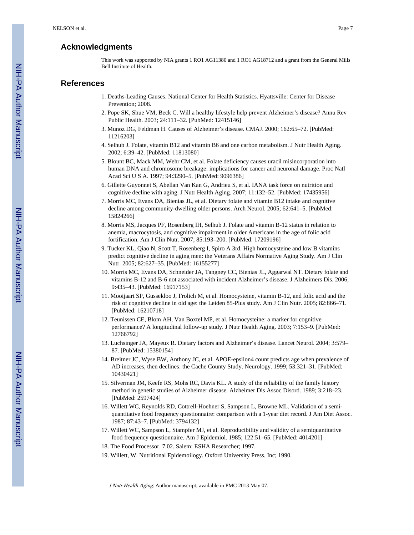#### **Acknowledgments**

This work was supported by NIA grants 1 RO1 AG11380 and 1 RO1 AG18712 and a grant from the General Mills Bell Institute of Health.

#### **References**

- 1. Deaths-Leading Causes. National Center for Health Statistics. Hyattsville: Center for Disease Prevention; 2008.
- 2. Pope SK, Shue VM, Beck C. Will a healthy lifestyle help prevent Alzheimer's disease? Annu Rev Public Health. 2003; 24:111–32. [PubMed: 12415146]
- 3. Munoz DG, Feldman H. Causes of Alzheimer's disease. CMAJ. 2000; 162:65–72. [PubMed: 11216203]
- 4. Selhub J. Folate, vitamin B12 and vitamin B6 and one carbon metabolism. J Nutr Health Aging. 2002; 6:39–42. [PubMed: 11813080]
- 5. Blount BC, Mack MM, Wehr CM, et al. Folate deficiency causes uracil misincorporation into human DNA and chromosome breakage: implications for cancer and neuronal damage. Proc Natl Acad Sci U S A. 1997; 94:3290–5. [PubMed: 9096386]
- 6. Gillette Guyonnet S, Abellan Van Kan G, Andrieu S, et al. IANA task force on nutrition and cognitive decline with aging. J Nutr Health Aging. 2007; 11:132–52. [PubMed: 17435956]
- 7. Morris MC, Evans DA, Bienias JL, et al. Dietary folate and vitamin B12 intake and cognitive decline among community-dwelling older persons. Arch Neurol. 2005; 62:641–5. [PubMed: 15824266]
- 8. Morris MS, Jacques PF, Rosenberg IH, Selhub J. Folate and vitamin B-12 status in relation to anemia, macrocytosis, and cognitive impairment in older Americans in the age of folic acid fortification. Am J Clin Nutr. 2007; 85:193–200. [PubMed: 17209196]
- 9. Tucker KL, Qiao N, Scott T, Rosenberg I, Spiro A 3rd. High homocysteine and low B vitamins predict cognitive decline in aging men: the Veterans Affairs Normative Aging Study. Am J Clin Nutr. 2005; 82:627–35. [PubMed: 16155277]
- 10. Morris MC, Evans DA, Schneider JA, Tangney CC, Bienias JL, Aggarwal NT. Dietary folate and vitamins B-12 and B-6 not associated with incident Alzheimer's disease. J Alzheimers Dis. 2006; 9:435–43. [PubMed: 16917153]
- 11. Mooijaart SP, Gussekloo J, Frolich M, et al. Homocysteine, vitamin B-12, and folic acid and the risk of cognitive decline in old age: the Leiden 85-Plus study. Am J Clin Nutr. 2005; 82:866–71. [PubMed: 16210718]
- 12. Teunissen CE, Blom AH, Van Boxtel MP, et al. Homocysteine: a marker for cognitive performance? A longitudinal follow-up study. J Nutr Health Aging. 2003; 7:153–9. [PubMed: 12766792]
- 13. Luchsinger JA, Mayeux R. Dietary factors and Alzheimer's disease. Lancet Neurol. 2004; 3:579– 87. [PubMed: 15380154]
- 14. Breitner JC, Wyse BW, Anthony JC, et al. APOE-epsilon4 count predicts age when prevalence of AD increases, then declines: the Cache County Study. Neurology. 1999; 53:321–31. [PubMed: 10430421]
- 15. Silverman JM, Keefe RS, Mohs RC, Davis KL. A study of the reliability of the family history method in genetic studies of Alzheimer disease. Alzheimer Dis Assoc Disord. 1989; 3:218–23. [PubMed: 2597424]
- 16. Willett WC, Reynolds RD, Cottrell-Hoehner S, Sampson L, Browne ML. Validation of a semiquantitative food frequency questionnaire: comparison with a 1-year diet record. J Am Diet Assoc. 1987; 87:43–7. [PubMed: 3794132]
- 17. Willett WC, Sampson L, Stampfer MJ, et al. Reproducibility and validity of a semiquantitative food frequency questionnaire. Am J Epidemiol. 1985; 122:51–65. [PubMed: 4014201]
- 18. The Food Processor. 7.02. Salem: ESHA Researcher; 1997.
- 19. Willett, W. Nutritional Epidemoilogy. Oxford University Press, Inc; 1990.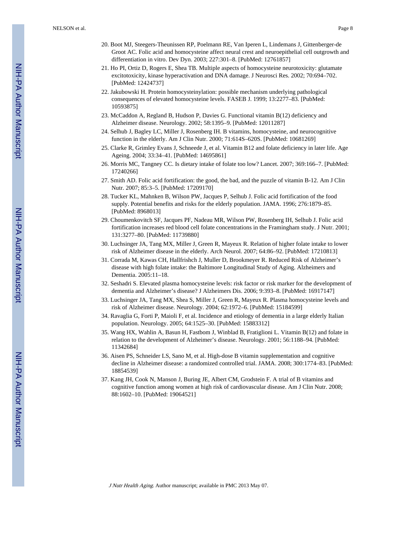- 20. Boot MJ, Steegers-Theunissen RP, Poelmann RE, Van Iperen L, Lindemans J, Gittenberger-de Groot AC. Folic acid and homocysteine affect neural crest and neuroepithelial cell outgrowth and differentiation in vitro. Dev Dyn. 2003; 227:301–8. [PubMed: 12761857]
- 21. Ho PI, Ortiz D, Rogers E, Shea TB. Multiple aspects of homocysteine neurotoxicity: glutamate excitotoxicity, kinase hyperactivation and DNA damage. J Neurosci Res. 2002; 70:694–702. [PubMed: 12424737]
- 22. Jakubowski H. Protein homocysteinylation: possible mechanism underlying pathological consequences of elevated homocysteine levels. FASEB J. 1999; 13:2277–83. [PubMed: 10593875]
- 23. McCaddon A, Regland B, Hudson P, Davies G. Functional vitamin B(12) deficiency and Alzheimer disease. Neurology. 2002; 58:1395–9. [PubMed: 12011287]
- 24. Selhub J, Bagley LC, Miller J, Rosenberg IH. B vitamins, homocysteine, and neurocognitive function in the elderly. Am J Clin Nutr. 2000; 71:614S–620S. [PubMed: 10681269]
- 25. Clarke R, Grimley Evans J, Schneede J, et al. Vitamin B12 and folate deficiency in later life. Age Ageing. 2004; 33:34–41. [PubMed: 14695861]
- 26. Morris MC, Tangney CC. Is dietary intake of folate too low? Lancet. 2007; 369:166–7. [PubMed: 17240266]
- 27. Smith AD. Folic acid fortification: the good, the bad, and the puzzle of vitamin B-12. Am J Clin Nutr. 2007; 85:3–5. [PubMed: 17209170]
- 28. Tucker KL, Mahnken B, Wilson PW, Jacques P, Selhub J. Folic acid fortification of the food supply. Potential benefits and risks for the elderly population. JAMA. 1996; 276:1879–85. [PubMed: 8968013]
- 29. Choumenkovitch SF, Jacques PF, Nadeau MR, Wilson PW, Rosenberg IH, Selhub J. Folic acid fortification increases red blood cell folate concentrations in the Framingham study. J Nutr. 2001; 131:3277–80. [PubMed: 11739880]
- 30. Luchsinger JA, Tang MX, Miller J, Green R, Mayeux R. Relation of higher folate intake to lower risk of Alzheimer disease in the elderly. Arch Neurol. 2007; 64:86–92. [PubMed: 17210813]
- 31. Corrada M, Kawas CH, Hallfrishch J, Muller D, Brookmeyer R. Reduced Risk of Alzheimer's disease with high folate intake: the Baltimore Longitudinal Study of Aging. Alzheimers and Dementia. 2005:11–18.
- 32. Seshadri S. Elevated plasma homocysteine levels: risk factor or risk marker for the development of dementia and Alzheimer's disease? J Alzheimers Dis. 2006; 9:393–8. [PubMed: 16917147]
- 33. Luchsinger JA, Tang MX, Shea S, Miller J, Green R, Mayeux R. Plasma homocysteine levels and risk of Alzheimer disease. Neurology. 2004; 62:1972–6. [PubMed: 15184599]
- 34. Ravaglia G, Forti P, Maioli F, et al. Incidence and etiology of dementia in a large elderly Italian population. Neurology. 2005; 64:1525–30. [PubMed: 15883312]
- 35. Wang HX, Wahlin A, Basun H, Fastbom J, Winblad B, Fratiglioni L. Vitamin B(12) and folate in relation to the development of Alzheimer's disease. Neurology. 2001; 56:1188–94. [PubMed: 11342684]
- 36. Aisen PS, Schneider LS, Sano M, et al. High-dose B vitamin supplementation and cognitive decline in Alzheimer disease: a randomized controlled trial. JAMA. 2008; 300:1774–83. [PubMed: 18854539]
- 37. Kang JH, Cook N, Manson J, Buring JE, Albert CM, Grodstein F. A trial of B vitamins and cognitive function among women at high risk of cardiovascular disease. Am J Clin Nutr. 2008; 88:1602–10. [PubMed: 19064521]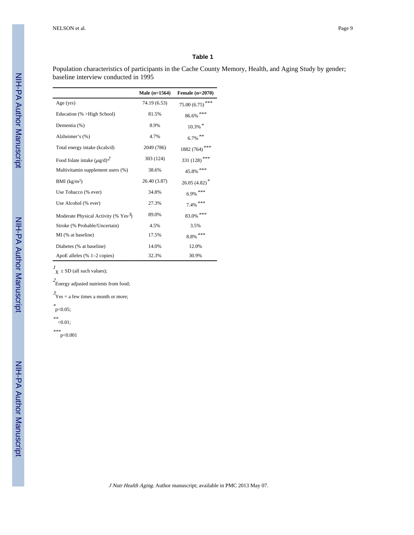Population characteristics of participants in the Cache County Memory, Health, and Aging Study by gender; baseline interview conducted in 1995

|                                        | Male (n=1564) | Female $(n=2070)$         |
|----------------------------------------|---------------|---------------------------|
| Age $(yrs)$                            | 74.19 (6.53)  | $75.00(6.75)$ ***         |
| Education (% >High School)             | 81.5%         | $86.6\%$ ***              |
| Dementia (%)                           | 8.9%          | $10.3\%$ *                |
| Alzheimer's (%)                        | 4.7%          | $6.7\%$ **                |
| Total energy intake (kcals/d)          | 2049 (786)    | 1882 (764) <sup>***</sup> |
| Food folate intake $(\mu g/d)^2$       | 303 (124)     | 331 (128)***              |
| Multivitamin supplement users (%)      | 38.6%         | $45.8\%$ ***              |
| BMI (kg/m <sup>2</sup> )               | 26.40 (3.87)  | $26.05(4.82)^*$           |
| Use Tobacco (% ever)                   | 34.8%         | $6.9\%$ ***               |
| Use Alcohol (% ever)                   | 27.3%         | $7.4\%$ ***               |
| Moderate Physical Activity (% $Yes3$ ) | 89.0%         | $83.0\%$ ***              |
| Stroke (% Probable/Uncertain)          | 4.5%          | 3.5%                      |
| MI (% at baseline)                     | 17.5%         | $8.8\%$ ***               |
| Diabetes (% at baseline)               | 14.0%         | 12.0%                     |
| ApoE alleles (% 1-2 copies)            | 32.3%         | 30.9%                     |

 $\frac{1}{\chi}$  ± SD (all such values);

 $2\text{Energy adjusted nutrients from food};$ 

 $\beta_{\text{Yes}} =$  a few times a month or more;

\* p<0.05;

\*\* <0.01;

\*\*\* p<0.001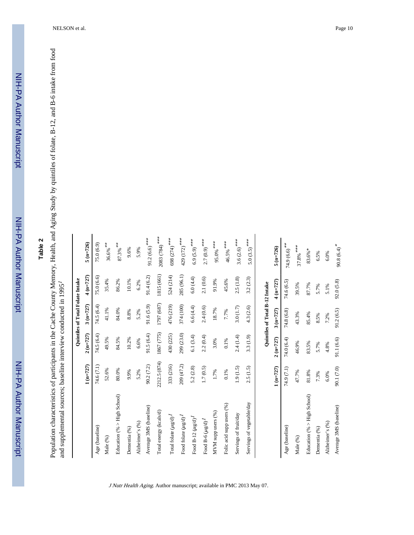NIH-PA Author Manuscript

NIH-PA Author Manuscript

# **Table 2**

Population characteristics of participants in the Cache County Memory, Health, and Aging Study by quintiles of folate, B-12, and B-6 intake from food Population characteristics of participants in the Cache County Memory, Health, and Aging Study by quintiles of folate, B-12, and B-6 intake from food 7. and supplemental sources; baseline interview conducted in 1995

|                             |              |            | Quintiles of Total Folate Intake |            |                           |
|-----------------------------|--------------|------------|----------------------------------|------------|---------------------------|
|                             | $1 (n=727)$  | $2(n=727)$ | $3(n=727)$                       | $4(n=727)$ | $5 (n = 726)$             |
| Age (baseline)              | 74.6 (7.1)   | 74.5 (6.4) | 74.5(6.4)                        | 75.0(6.6)  | 75.0 (6.9)                |
| Male (%)                    | 52.6%        | 49.5%      | 41.1%                            | 35.4%      | $36.6\%$ **               |
| Education (% > High School) | 80.0%        | 84.5%      | 84.0%                            | 86.2%      | $87.3\%$ $^{**}$          |
| Dementia <sup>(%)</sup>     | 9.9%         | 10.2%      | 8.8%                             | $10.1\%$   | 9.6%                      |
| Alzheimer's (%)             | 5.2%         | 6.6%       | 5.2%                             | 6.2%       | 5.9%                      |
| Average 3MS (baseline)      | 90.2(7.2)    | 91.5(6.4)  | 91.6(5.9)                        | 91.4(6.2)  | $91.2(6.6)$ ***           |
| Total energy (kcals/d)      | 2212.5 (874) | 1867 (775) | 1797 (687)                       | 1815 (661) | $2083(784)^{***}$         |
| Total folate $(\mu g/d)^I$  | 333 (216)    | 430 (225)  | 476 (219)                        | 524 (214)  | 698 (274) ***             |
| Food folate $(\mu g/d)^I$   | 209 (47.2)   | 299 (23.0) | 374 (100)                        | 285 (96.1) | 429 (172) ***             |
| Food B-12 $(\mu g/d)^I$     | 5.2(2.8)     | 6.1(3.4)   | 6.6(4.4)                         | 6.0(4.4)   | $6.9(5.9)$ <sup>***</sup> |
| Food B-6 $(\mu g/d)^I$      | 1.7(0.5)     | 2.2(0.4)   | 2.4(0.6)                         | 2.1(0.6)   | $2.7(0.9)$ ***            |
| MVM supp users (%)          | 1.7%         | 3.0%       | 18.7%                            | 91.9%      | $95.0\%$ ***              |
| Folic acid supp users (%)   | $0.1\%$      | $0.1\%$    | 7.7%                             | 45.6%      | $46.5\%$ ***              |
| Servings of fruit/day       | 1.9(1.5)     | 2.4(1.4)   | 3.0(1.7)                         | 2.5(1.8)   | $3.6(2.6)$ <sup>***</sup> |
| Servings of vegetable/day   | 2.5(1.5)     | 3.3 (1.9)  | 4.3 (2.6)                        | 3.2(2.3)   | $5.0(3.5)$ <sup>***</sup> |
|                             |              |            | Quintiles of Total B-12 Intake   |            |                           |
|                             | $1(n=727)$   | $2(n=727)$ | $3(n=727)$                       | $4(n=727)$ | $5 (n = 726)$             |
| Age (baseline)              | 74.9 (7.1)   | 74.0 (6.4) | 74.8 (6.8)                       | 74.6 (6.5) | $74.9(6.6)$ <sup>**</sup> |
| Male <sup>(%)</sup>         | 47.7%        | 46.9%      | 43.3%                            | 39.5%      | $37.8\%$ ***              |
| Education (% > High School) | $81.8\%$     | 83.5%      | 85.4%                            | 87.7%      | $83.6\% *$                |
| Dementia <sup>(%)</sup>     | 7.3%         | 5.7%       | 8.5%                             | 5.7%       | 6.5%                      |
| Alzheimer's (%)             | 6.0%         | 4.8%       | 7.2%                             | $5.1\%$    | 6.0%                      |
| Average 3MS (baseline)      | 90.1 (7.0)   | 91.1 (6.6) | 91.2(6.5)                        | 92.0(5.8)  | $90.8(6.4)$ <sup>*</sup>  |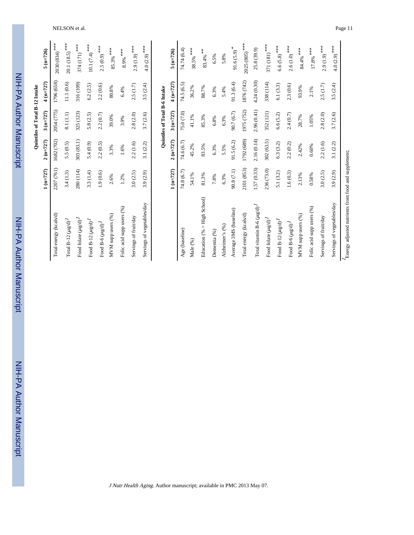NIH-PA Author Manuscript NIH-PA Author Manuscript

 NIH-PA Author ManuscriptNIH-PA Author Manuscript

|                                 |            |             | Quintiles of Total B-12 Intake |             |                             |
|---------------------------------|------------|-------------|--------------------------------|-------------|-----------------------------|
|                                 | $1(n=727)$ | $2(n=727)$  | $3(n=727)$                     | $4(n=727)$  | $5(n=726)$                  |
| Total energy (kcals/d)          | 2207 (761) | 1682 (702)  | 2054 (775)                     | 1796 (658)  | $2030(834)^$ ***            |
| Total B-12 $(\mu g/d)^I$        | 3.4(1.3)   | 5.5(0.5)    | 8.1 (1.1)                      | 11.1(0.6)   | $20.1(18.5)$ ***            |
| Food folate $(\mu g/d)^I$       | 280 (114)  | 303 (83.1)  | 325 (123)                      | 316 (109)   | $374(171)^{***}$            |
| Food B-12 $(\mu g/d)^I$         | 3.3(1.4)   | 5.4(0.9)    | 5.8(2.5)                       | 6.2(2.5)    | $10.1 (7.4)$ <sup>***</sup> |
| Food $B-6 \ (\mu g/d)^I$        | 1.9(0.6)   | 2.2(0.5)    | 2.2(0.7)                       | 2.2(0.6)    | $2.5(0.9)$ ***              |
| MVM supp users (%)              | 2.6%       | 3.3%        | 39.0%                          | $80.8\%$    | $85.3\%$ ***                |
| Folic acid supp users (%)       | 1.2%       | $1.6\%$     | 3.9%                           | 6.4%        | $8.9%$ ***                  |
| Servings of fruit/day           | 3.0(2.5)   | 2.2(1.6)    | 2.8(2.0)                       | 2.5(1.7)    | $2.9(1.9)$ ***              |
| Servings of vegetables/day      | 3.9 (2.9)  | 3.1(2.2)    | 3.7 (2.6)                      | 3.5(2.4)    | $4.0(2.9)$ <sup>***</sup>   |
|                                 |            |             | Quintiles of Total B-6 Intake  |             |                             |
|                                 | $1(n=727)$ | $2(n=727)$  | $3(n=727)$                     | $4(n=727)$  | $5 (n=726)$                 |
| Age (baseline)                  | 74.8 (6.7) | 74.6 (6.7)  | 75.0 (7.0)                     | 74.5 (6.5)  | 74.74 (6.4)                 |
| Male (%)                        | 54.1%      | 45.2%       | 41.1%                          | 36.2%       | $38.5%$ ***                 |
| Education (% > High School)     | 81.3%      | $83.5\%$    | 85.3%                          | 88.7%       | $83.4\%$ $^{**}$            |
| Dementia <sup>(%)</sup>         | $7.8\%$    | 6.3%        | 6.8%                           | 6.3%        | 6.5%                        |
| Alzheimer's (%)                 | 6.3%       | 5.5%        | 6.3%                           | 5.4%        | 5.8%                        |
| Average 3MS (baseline)          | 90.8 (7.1) | 91.5(6.2)   | 90.7 (6.7)                     | 91.3(6.4)   | $91.6(5.9)$ <sup>*</sup>    |
| Total energy (kcals/d)          | 2101 (853) | 1792 (689)  | 1975 (752)                     | 1876 (742)  | $2025(805)$ ***             |
| Total vitamin B-6 $(\mu g/d)^I$ | 1.57(0.33) | 2.16 (0.14) | 2.96 (0.41)                    | 4.24 (0.30) | 25.8 (39.9)                 |
| Food folate $(\mu g/d)^I$       | 236 (73.0) | 302 (63.5)  | 352 (121)                      | 338 (114)   | $371(181)^{***}$            |
| Food B-12 $(\mu g/d)^I$         | 5.1(3.2)   | 6.3(3.2)    | 6.6 (5.2)                      | 6.1(3.3)    | $6.6(5.8)$ ***              |
| Food B-6 $(\mu g/d)^I$          | 1.6(0.3)   | 2.2(0.2)    | 2.4(0.7)                       | 2.3(0.6)    | $2.6(1.0)$ <sup>***</sup>   |
| MVM supp users (%)              | 2.13%      | 2.42%       | 28.7%                          | 93.9%       | $84.4\%$ ***                |
| Folic acid supp users (%)       | 0.58%      | 0.60%       | 1.05%                          | 2.1%        | $17.8\%$ $^{***}$           |
| Servings of fruit/day           | 3.0(2.5)   | 2.2(1.6)    | 2.8(2.0)                       | 2.5(1.7)    | $2.9(1.9)$ ***              |

J Nutr Health Aging. Author manuscript; available in PMC 2013 May 07.

 $4.0(2.9)$ \*\*\*

 $3.5(2.4)$ 

 $3.7(2.6)$ 

Servings of vegetables/day 3.9 (2.9) 3.7 (2.2) 3.5 (2.4)  $4.0 \frac{(2.9)^{***}}{4.0 \frac{(2.9)^{***}}{2}}$ 

 $3.1(2.2)$ 

 $3.9(2.9)$ 

Servings of vegetables/day

 $I_{\mbox{Energy}}$  adjusted nutrients from food and supplement; Energy adjusted nutrients from food and supplement;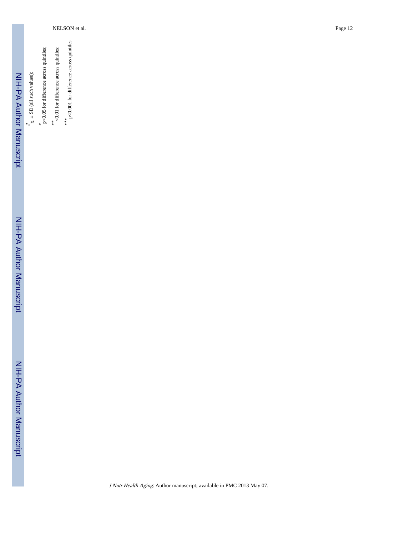| NIH-PA Author Manuscript       | $\chi$ ± SD (all such values); | p<0.05 for difference across quintiles; | <0.01 for difference across quintiles;<br>大头 | p<0.001 for difference across quintiles<br>**** |  |
|--------------------------------|--------------------------------|-----------------------------------------|----------------------------------------------|-------------------------------------------------|--|
| <b>NH-PA Author Manuscript</b> |                                |                                         |                                              |                                                 |  |

NIH-PA Author Manuscript

NIH-PA Author Manuscript

J Nutr Health Aging. Author manuscript; available in PMC 2013 May 07.

NELSON et al. Page 12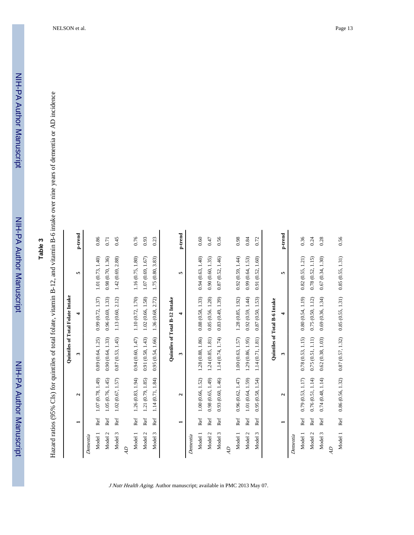## **Table 3**

Hazard ratios (95% CIs) for quintiles of total folate, vitamin B-12, and vitamin B-6 intake over nine years of dementia or AD incidence Hazard ratios (95% CIs) for quintiles of total folate, vitamin B-12, and vitamin B-6 intake over nine years of dementia or AD incidence

|                |     |                         |                   | Quintiles of Total Folate Intake |                   |         |
|----------------|-----|-------------------------|-------------------|----------------------------------|-------------------|---------|
|                | ⊣   | $\mathbf{\tilde{c}}$    |                   | ᆉ                                | ı,                | p-trend |
| Dementia       |     |                         |                   |                                  |                   |         |
| Model 1        | Ref | 1.07 (0.78, 1.49)       | 0.89(0.64, 1.25)  | 0.99(0.72, 1.37)                 | 1.01 (0.73, 1.40) | 0.86    |
| Model 2        | Ref | 1.05 (0.76, 1.45)       | 0.90(0.64, 1.33)  | 0.96(0.69, 1.33)                 | 0.98 (0.70, 1.36) | 0.71    |
| Model 3        | Ref | 1.02(0.67, 1.57)        | 0.87(0.53, 1.45)  | 1.13 (0.60, 2.12)                | 1.42 (0.69, 2.88) | 0.45    |
| $\overline{d}$ |     |                         |                   |                                  |                   |         |
| Model 1        | Ref | 1.26(0.83, 1.94)        | 0.94(0.60, 1.47)  | 1.10 (0.72, 1.70)                | 1.16 (0.75, 1.80) | 0.76    |
| Model 2        | Ref | 1.21 (0.79, 1.85)       | 0.91(0.58, 1.43)  | 1.02 (0.66, 1.58)                | 1.07(0.69, 1.67)  | 0.93    |
| Model 3        | Ref | 1.14 (0.71, 1.84)       | 0.95(0.54, 1.66)  | 2.72<br>1.36 (0.68,              | 1.75 (0.80, 3.83) | 0.23    |
|                |     |                         |                   | Quintiles of Total B-12 Intake   |                   |         |
|                | −   | $\mathbf{a}$            | ω                 | 4                                | S.                | p-trend |
| Dementia       |     |                         |                   |                                  |                   |         |
| Model 1        | Ref | 1.00 (0.66, 1.52)       | 1.28 (0.88, 1.86) | 0.88(0.58, 1.33)                 | 0.94(0.63, 1.40)  | 0.60    |
| Model 2        | Ref | 0.98(0.65, 1.49)        | 1.24(0.85, 1.81)  | 0.85(0.56, 1.28)                 | 0.90(0.60, 1.35)  | 0.47    |
| Model 3        | Ref | 0.93 (0.60, 1.46)       | 1.14 (0.74, 1.74) | 0.83(0.49, 1.39)                 | 0.87(0.52, 1.46)  | 0.56    |
| ЯĎ             |     |                         |                   |                                  |                   |         |
| Model 1        | Ref | 0.96(0.62, 1.47)        | 1.00(0.63, 1.57)  | 1.28(0.85, 1.92)                 | 0.92(0.59, 1.44)  | 0.98    |
| Model 2        | Ref | 1.01 (0.64, 1.59)       | 1.29 (0.86, 1.95) | 0.92(0.59, 1.44)                 | 0.99(0.64, 1.53)  | 0.84    |
| Model 3        | Ref | 0.95(0.58, 1.54)        | 1.14 (0.71, 1.81) | 0.87(0.50, 1.53)                 | 0.91(0.52, 1.60)  | 0.72    |
|                |     |                         |                   | Quintiles of Total B-6 Intake    |                   |         |
|                |     | $\overline{\mathbf{c}}$ | ω                 | 4                                | S.                | p-trend |
| Dementia       |     |                         |                   |                                  |                   |         |
| Model 1        | Ref | 0.79(0.53, 1.17)        | 0.78(0.53, 1.15)  | 0.80(0.54, 1.19)                 | 0.82(0.55, 1.21)  | 0.36    |
| Model 2        | Ref | 0.76(0.51, 1.14)        | 0.75(0.51, 1.11)  | 0.75(0.50, 1.12)                 | 0.78(0.52, 1.15)  | 0.24    |
| Model 3        | Ref | 0.74(0.48, 1.14)        | 0.62(0.38, 1.03)  | 0.69(0.36, 1.34)                 | 0.67(0.34, 1.30)  | 0.28    |
| ĞÞ             |     |                         |                   |                                  |                   |         |
| Model 1        | Ref | 0.86(0.56, 1.32)        | 0.87(0.57, 1.32)  | 0.85(0.55, 1.31)                 | 0.85(0.55, 1.31)  | 0.56    |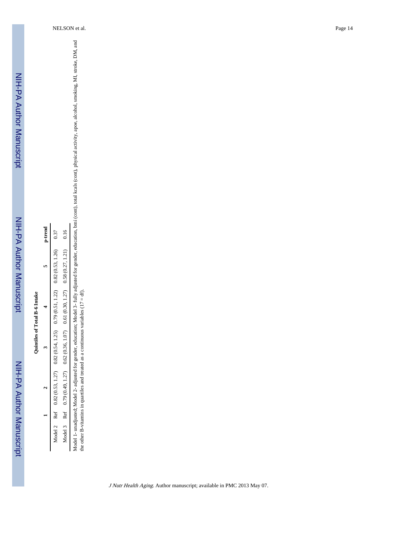| p-trend | 0.37                                                                                    |                                                                                                |
|---------|-----------------------------------------------------------------------------------------|------------------------------------------------------------------------------------------------|
|         |                                                                                         |                                                                                                |
|         |                                                                                         |                                                                                                |
|         | Model 2 Ref $0.82(0.53, 1.27)$ $0.82(0.54, 1.25)$ $0.79(0.51, 1.22)$ $0.82(0.53, 1.26)$ | Model 3 Ref $0.79(0.49, 1.27)$ $0.62(0.36, 1.07)$ $0.61(0.30, 1.27)$ $0.58(0.27, 1.21)$ $0.16$ |
|         |                                                                                         |                                                                                                |
|         |                                                                                         |                                                                                                |
|         |                                                                                         |                                                                                                |

Model 1- unadjusted; Model 2- adjusted for gender, education; Model 3- fully adjusted for gender, education, bmi (comt), rotal kcals (cont), physical activity, apoe, alcohol, smoking, MI, stroke, DM, and<br>the other B-vitami Model 1- unadjusted; Model 2- adjusted for gender, education; Model 3- fully adjusted for gender, education, bmi (cont), total kcals (cont), physical activity, apoe, alcohol, smoking, MI, stroke, DM, and the other B-vitamins in quartiles and treated as a continuous variables  $(17 = df)$ .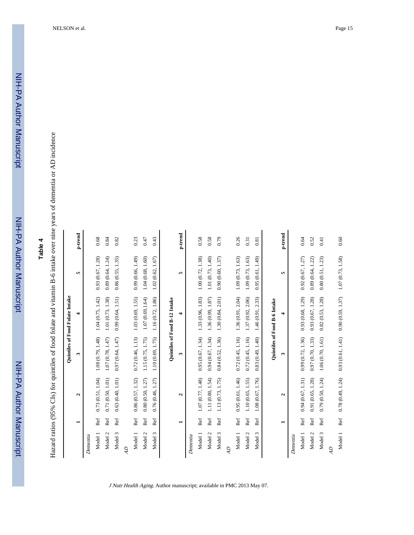## **Table 4**

Hazard ratios (95% CIs) for quintiles of food folate and vitamin B-6 intake over nine years of dementia or AD incidence Hazard ratios (95% CIs) for quintiles of food folate and vitamin B-6 intake over nine years of dementia or AD incidence

|                |                |                   |                   | Quintiles of Food Folate Intake |                   |            |
|----------------|----------------|-------------------|-------------------|---------------------------------|-------------------|------------|
|                | -              | $\mathbf{a}$      | ω                 | 4                               | 5                 | p-trend    |
| Dementia       |                |                   |                   |                                 |                   |            |
| Model 1        | Ref            | 0.73(0.51, 1.04)  | 1.08 (0.79, 1.48) | 1.04 (0.75, 1.42)               | 0.93(0.67, 1.28)  | 0.68       |
| Model 2        | Ref            | 0.71(0.50, 1.01)  | 1.07 (0.78, 1.47) | 1.01 (0.73, 1.38)               | 0.89(0.64, 1.24)  | 0.84       |
| Model 3        | Ref            | 0.63(0.40, 1.01)  | 0.97(0.64, 1.47)  | 0.99(0.64, 1.51)                | 0.86(0.55, 1.35)  | 0.82       |
| $\overline{d}$ |                |                   |                   |                                 |                   |            |
| Model 1        | Ref            | 0.86(0.57, 1.32)  | 0.72(0.46, 1.13)  | 1.03(0.69, 1.55)                | 0.99 (0.66, 1.49) | 0.23       |
| Model 2        | Ref            | 0.80(0.50, 1.27)  | 1.15 (0.75, 1.75) | 1.07(0.69, 1.64)                | 1.04(0.68, 1.60)  | 0.47       |
| Model 3        | Ref            | 0.76(0.46, 1.27)  | 1.10 (0.69, 1.75) | 1.16 (0.72, 1.86)               | 1.02(0.62, 1.67)  | 0.43       |
|                |                |                   |                   | Quintiles of Food B-12 Intake   |                   |            |
|                | $\blacksquare$ | $\mathbf{c}$      | 3                 | 4                               | r.                | p-trend    |
| Dementia       |                |                   |                   |                                 |                   |            |
| Model 1        | Ref            | 1.07(0.77, 1.48)  | 0.95(0.67, 1.34)  | 1.33 (0.96, 1.83)               | 1.00 (0.72, 1.38) | 0.58       |
| Model 2        | Ref            | 1.11 (0.80, 1.54) | 0.94(0.67, 1.34)  | 1.36 (0.99, 1.87)               | 1.01 (0.73, 1.40) | 0.58       |
| Model 3        | Ref            | 1.13 (0.73, 1.75) | 0.84(0.52, 1.36)  | 1.30(0.84, 2.01)                | 0.90(0.60, 1.37)  | 0.79       |
| $\overline{d}$ |                |                   |                   |                                 |                   |            |
| Model 1        | Ref            | 0.95(0.61, 1.46)  | 0.72(0.45, 1.16)  | 1.36(0.91, 2.04)                | 1.09 (0.73, 1.63) | 0.26       |
| Model 2        | Ref            | 1.10 (0.65, 1.55) | 0.72(0.45, 1.16)  | 1.37 (0.92, 2.06)               | 1.09 (0.73, 1.63) | 0.31       |
| Model 3        | Ref            | 1.08 (0.67, 1.76) | 0.83(0.49, 1.40)  | 1.46 (0.91, 2.33)               | 0.95(0.61, 1.49)  | 0.81       |
|                |                |                   |                   | Quintiles of Food B-6 Intake    |                   |            |
|                | ⊣              | $\mathbf{a}$      | ω                 | 4                               | r.                | $p$ -trend |
| Dementia       |                |                   |                   |                                 |                   |            |
| Model 1        | Ref            | 0.94(0.67, 1.31)  | 0.99 (0.72, 1.36) | 0.93(0.68, 1.29)                | 0.92(0.67, 1.27)  | 0.64       |
| Model 2        | Ref            | 0.91(0.65, 1.28)  | 0.97 (0.70, 1.33) | 0.93(0.67, 1.28)                | 0.89(0.64, 1.22)  | 0.52       |
| Model 3        | Ref            | 0.79(0.50, 1.24)  | 1.06(0.70, 1.61)  | 0.82(0.53, 1.28)                | 0.80(0.51, 1.23)  | 0.41       |
| AD             |                |                   |                   |                                 |                   |            |
| Model 1        | Ref            | 0.78(0.49, 1.24)  | 0.93(0.61, 1.41)  | 0.90(0.59, 1.37)                | 1.07 (0.73, 1.58) | 0.60       |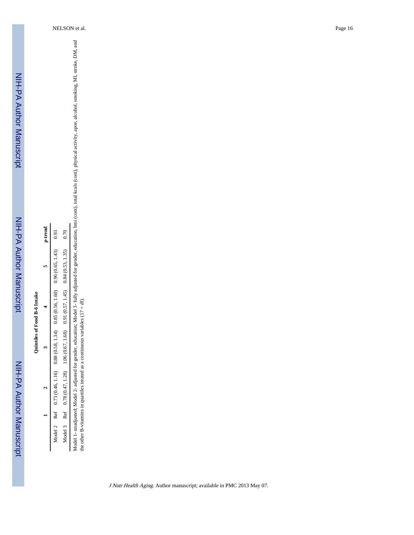| p-trend | 0.93                                  | 0.70                                                                                       |  |
|---------|---------------------------------------|--------------------------------------------------------------------------------------------|--|
|         | 0.96(0.65, 1.43)                      |                                                                                            |  |
|         | $0.88(0.58, 1.34)$ $0.85(0.56, 1.60)$ |                                                                                            |  |
|         |                                       |                                                                                            |  |
|         | Model 2 Ref 0.73 (0.46, 1.16)         | Model 3 Ref $0.78(0.47, 1.28)$ 1.06 $(0.67, 1.68)$ 0.91 $(0.57, 1.45)$ 0.84 $(0.53, 1.35)$ |  |
|         |                                       |                                                                                            |  |
|         |                                       |                                                                                            |  |

Model 1- unadjusted; Model 2- adjusted for gender, education; Model 3- fully adjusted for gender, education, bmi (comt), rotal kcals (cont), physical activity, apoe, alcohol, smoking, MI, stroke, DM, and<br>the other B-vitami Model 1- unadjusted; Model 2- adjusted for gender, education; Model 3- fully adjusted for gender, education, bmi (cont), total kcals (cont), physical activity, apoe, alcohol, smoking, MI, stroke, DM, and the other B-vitamins in quartiles treated as a continuous variables (17 = df).